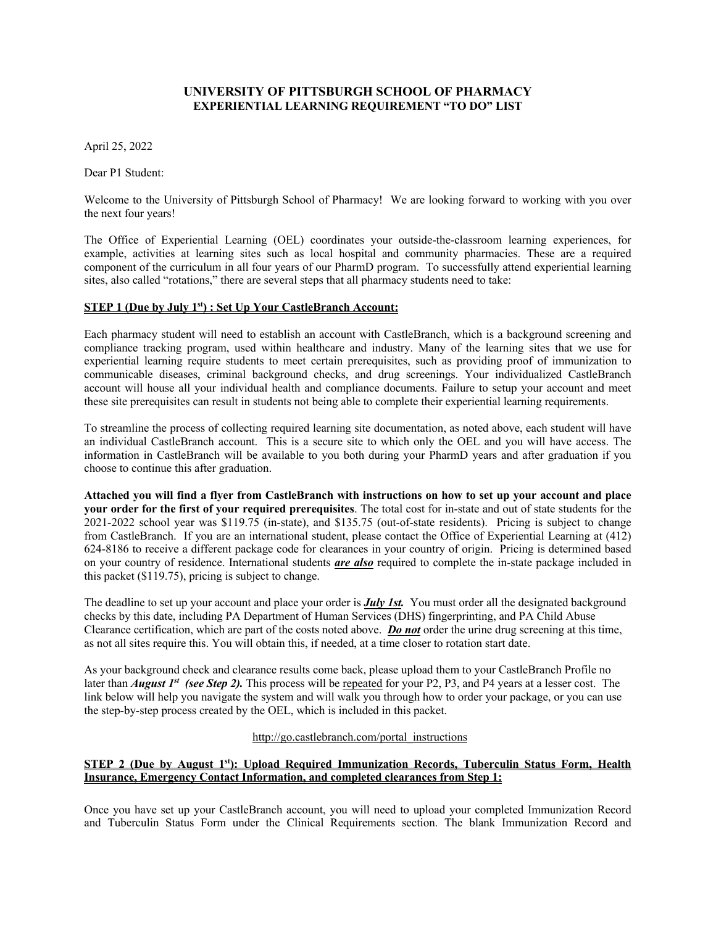## **UNIVERSITY OF PITTSBURGH SCHOOL OF PHARMACY EXPERIENTIAL LEARNING REQUIREMENT "TO DO" LIST**

April 25, 2022

Dear P1 Student:

Welcome to the University of Pittsburgh School of Pharmacy! We are looking forward to working with you over the next four years!

The Office of Experiential Learning (OEL) coordinates your outside-the-classroom learning experiences, for example, activities at learning sites such as local hospital and community pharmacies. These are a required component of the curriculum in all four years of our PharmD program. To successfully attend experiential learning sites, also called "rotations," there are several steps that all pharmacy students need to take:

## **STEP 1 (Due by July 1st) : Set Up Your CastleBranch Account:**

Each pharmacy student will need to establish an account with CastleBranch, which is a background screening and compliance tracking program, used within healthcare and industry. Many of the learning sites that we use for experiential learning require students to meet certain prerequisites, such as providing proof of immunization to communicable diseases, criminal background checks, and drug screenings. Your individualized CastleBranch account will house all your individual health and compliance documents. Failure to setup your account and meet these site prerequisites can result in students not being able to complete their experiential learning requirements.

To streamline the process of collecting required learning site documentation, as noted above, each student will have an individual CastleBranch account. This is a secure site to which only the OEL and you will have access. The information in CastleBranch will be available to you both during your PharmD years and after graduation if you choose to continue this after graduation.

**Attached you will find a flyer from CastleBranch with instructions on how to set up your account and place your order for the first of your required prerequisites**. The total cost for in-state and out of state students for the 2021-2022 school year was \$119.75 (in-state), and \$135.75 (out-of-state residents). Pricing is subject to change from CastleBranch. If you are an international student, please contact the Office of Experiential Learning at (412) 624-8186 to receive a different package code for clearances in your country of origin. Pricing is determined based on your country of residence. International students *are also* required to complete the in-state package included in this packet (\$119.75), pricing is subject to change.

The deadline to set up your account and place your order is *July 1st.* You must order all the designated background checks by this date, including PA Department of Human Services (DHS) fingerprinting, and PA Child Abuse Clearance certification, which are part of the costs noted above. *Do not* order the urine drug screening at this time, as not all sites require this. You will obtain this, if needed, at a time closer to rotation start date.

As your background check and clearance results come back, please upload them to your CastleBranch Profile no later than *August 1st (see Step 2).* This process will be repeated for your P2, P3, and P4 years at a lesser cost. The link below will help you navigate the system and will walk you through how to order your package, or you can use the step-by-step process created by the OEL, which is included in this packet.

### http://go.castlebranch.com/portal\_instructions

# **STEP 2 (Due by August 1st): Upload Required Immunization Records, Tuberculin Status Form, Health Insurance, Emergency Contact Information, and completed clearances from Step 1:**

Once you have set up your CastleBranch account, you will need to upload your completed Immunization Record and Tuberculin Status Form under the Clinical Requirements section. The blank Immunization Record and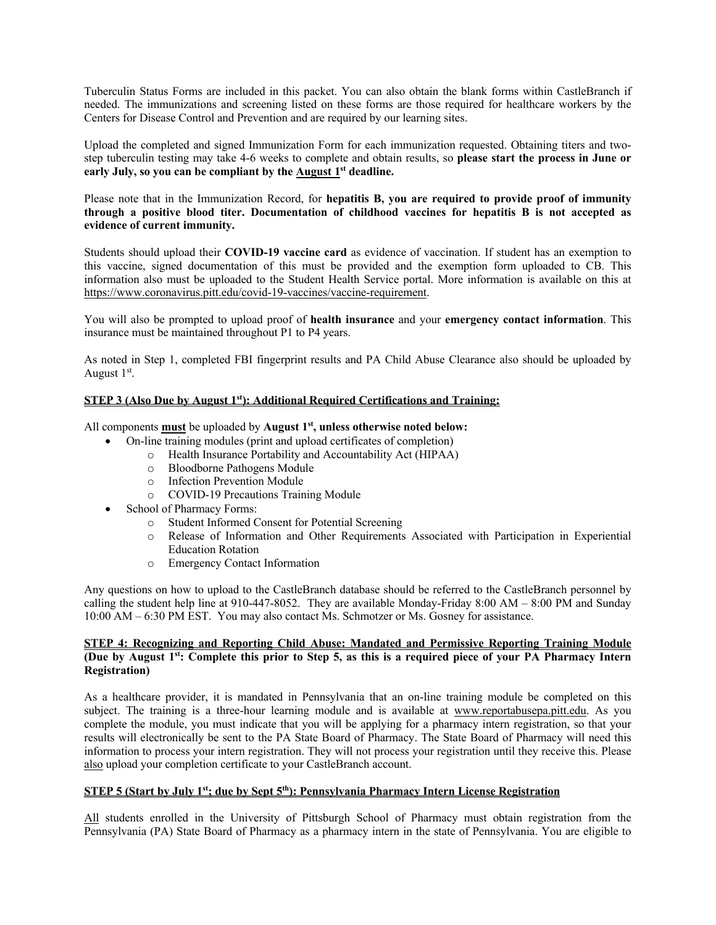Tuberculin Status Forms are included in this packet. You can also obtain the blank forms within CastleBranch if needed. The immunizations and screening listed on these forms are those required for healthcare workers by the Centers for Disease Control and Prevention and are required by our learning sites.

Upload the completed and signed Immunization Form for each immunization requested. Obtaining titers and twostep tuberculin testing may take 4-6 weeks to complete and obtain results, so **please start the process in June or early July, so you can be compliant by the August 1st deadline.** 

Please note that in the Immunization Record, for **hepatitis B, you are required to provide proof of immunity through a positive blood titer. Documentation of childhood vaccines for hepatitis B is not accepted as evidence of current immunity.**

Students should upload their **COVID-19 vaccine card** as evidence of vaccination. If student has an exemption to this vaccine, signed documentation of this must be provided and the exemption form uploaded to CB. This information also must be uploaded to the Student Health Service portal. More information is available on this at https://www.coronavirus.pitt.edu/covid-19-vaccines/vaccine-requirement.

You will also be prompted to upload proof of **health insurance** and your **emergency contact information**. This insurance must be maintained throughout P1 to P4 years.

As noted in Step 1, completed FBI fingerprint results and PA Child Abuse Clearance also should be uploaded by August  $1<sup>st</sup>$ .

## **STEP 3 (Also Due by August 1st): Additional Required Certifications and Training:**

All components **must** be uploaded by **August 1st, unless otherwise noted below:**

- On-line training modules (print and upload certificates of completion)
	- o Health Insurance Portability and Accountability Act (HIPAA)
	- o Bloodborne Pathogens Module
	- o Infection Prevention Module
	- o COVID-19 Precautions Training Module
- School of Pharmacy Forms:
	- o Student Informed Consent for Potential Screening
	- Release of Information and Other Requirements Associated with Participation in Experiential Education Rotation
	- o Emergency Contact Information

Any questions on how to upload to the CastleBranch database should be referred to the CastleBranch personnel by calling the student help line at 910-447-8052. They are available Monday-Friday 8:00 AM – 8:00 PM and Sunday 10:00 AM – 6:30 PM EST. You may also contact Ms. Schmotzer or Ms. Gosney for assistance.

## **STEP 4: Recognizing and Reporting Child Abuse: Mandated and Permissive Reporting Training Module (Due by August 1st: Complete this prior to Step 5, as this is a required piece of your PA Pharmacy Intern Registration)**

As a healthcare provider, it is mandated in Pennsylvania that an on-line training module be completed on this subject. The training is a three-hour learning module and is available at www.reportabusepa.pitt.edu. As you complete the module, you must indicate that you will be applying for a pharmacy intern registration, so that your results will electronically be sent to the PA State Board of Pharmacy. The State Board of Pharmacy will need this information to process your intern registration. They will not process your registration until they receive this. Please also upload your completion certificate to your CastleBranch account.

# **STEP 5** (Start by July 1<sup>st</sup>; due by Sept 5<sup>th</sup>): Pennsylvania Pharmacy Intern License Registration

All students enrolled in the University of Pittsburgh School of Pharmacy must obtain registration from the Pennsylvania (PA) State Board of Pharmacy as a pharmacy intern in the state of Pennsylvania. You are eligible to